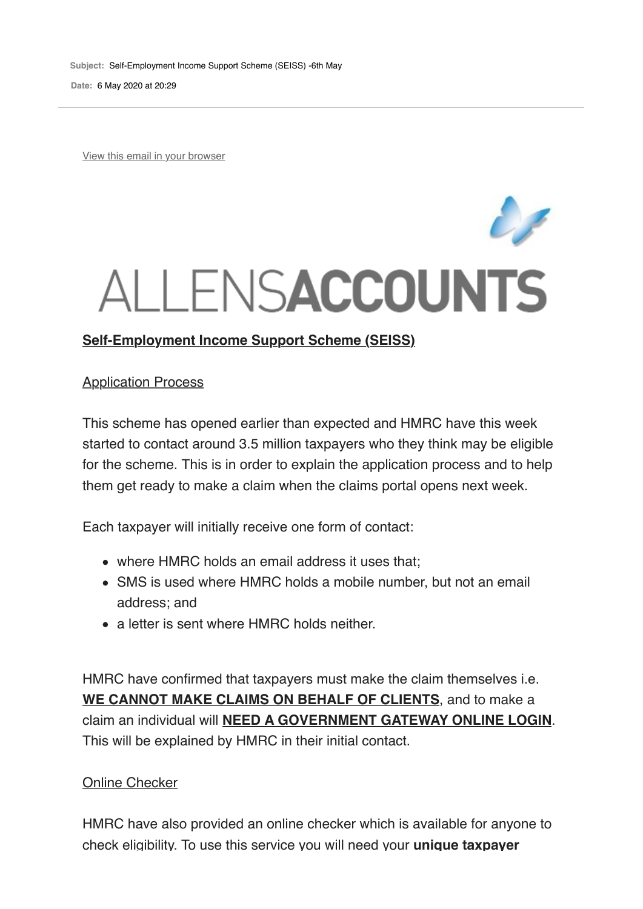**Subject:** Self-Employment Income Support Scheme (SEISS) -6th May

**Date:** 6 May 2020 at 20:29

View this email in your browser

# ALLENSACCOUNTS

#### **Application Process**

This scheme has opened earlier than expected and HMRC have this week started to contact around 3.5 million taxpayers who they think may be eligible for the scheme. This is in order to explain the application process and to help them get ready to make a claim when the claims portal opens next week.

Each taxpayer will initially receive one form of contact:

- where HMRC holds an email address it uses that;
- SMS is used where HMRC holds a mobile number, but not an email address; and
- a letter is sent where HMRC holds neither

HMRC have confirmed that taxpayers must make the claim themselves i.e. **WE CANNOT MAKE CLAIMS ON BEHALF OF CLIENTS**, and to make a claim an individual will **NEED A GOVERNMENT GATEWAY ONLINE LOGIN**. This will be explained by HMRC in their initial contact.

#### Online Checker

HMRC have also provided an online checker which is available for anyone to check eligibility. To use this service you will need your **unique taxpayer**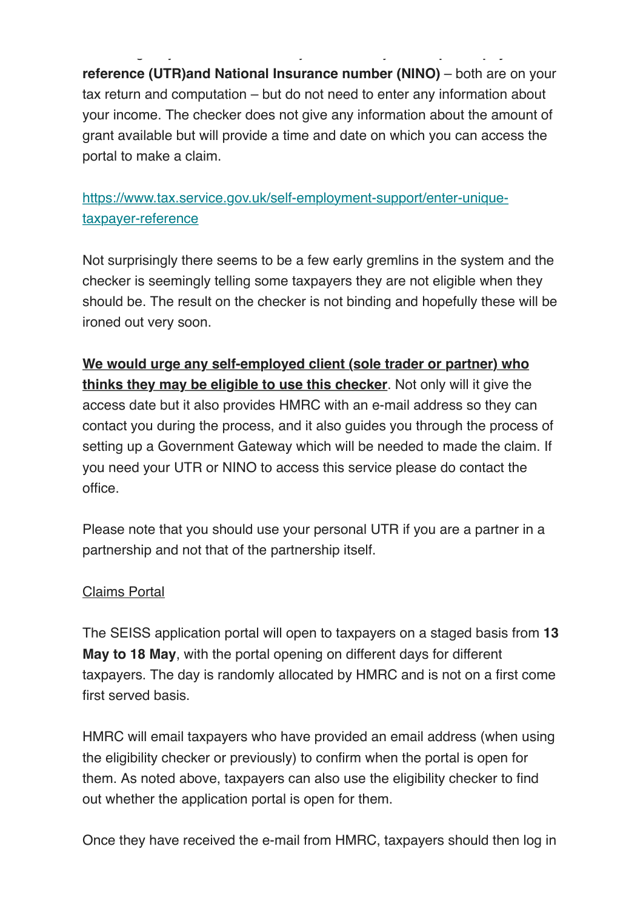check eligibility. To use this service you will need your **unique taxpayer reference (UTR)and National Insurance number (NINO)** – both are on your tax return and computation – but do not need to enter any information about your income. The checker does not give any information about the amount of grant available but will provide a time and date on which you can access the portal to make a claim.

# https://www.tax.service.gov.uk/self-employment-support/enter-uniquetaxpayer-reference

Not surprisingly there seems to be a few early gremlins in the system and the checker is seemingly telling some taxpayers they are not eligible when they should be. The result on the checker is not binding and hopefully these will be ironed out very soon.

**We would urge any self-employed client (sole trader or partner) who thinks they may be eligible to use this checker**. Not only will it give the access date but it also provides HMRC with an e-mail address so they can contact you during the process, and it also guides you through the process of setting up a Government Gateway which will be needed to made the claim. If you need your UTR or NINO to access this service please do contact the office.

Please note that you should use your personal UTR if you are a partner in a partnership and not that of the partnership itself.

## Claims Portal

The SEISS application portal will open to taxpayers on a staged basis from **13 May to 18 May**, with the portal opening on different days for different taxpayers. The day is randomly allocated by HMRC and is not on a first come first served basis.

HMRC will email taxpayers who have provided an email address (when using the eligibility checker or previously) to confirm when the portal is open for them. As noted above, taxpayers can also use the eligibility checker to find out whether the application portal is open for them.

Once they have received the e-mail from HMRC, taxpayers should then log in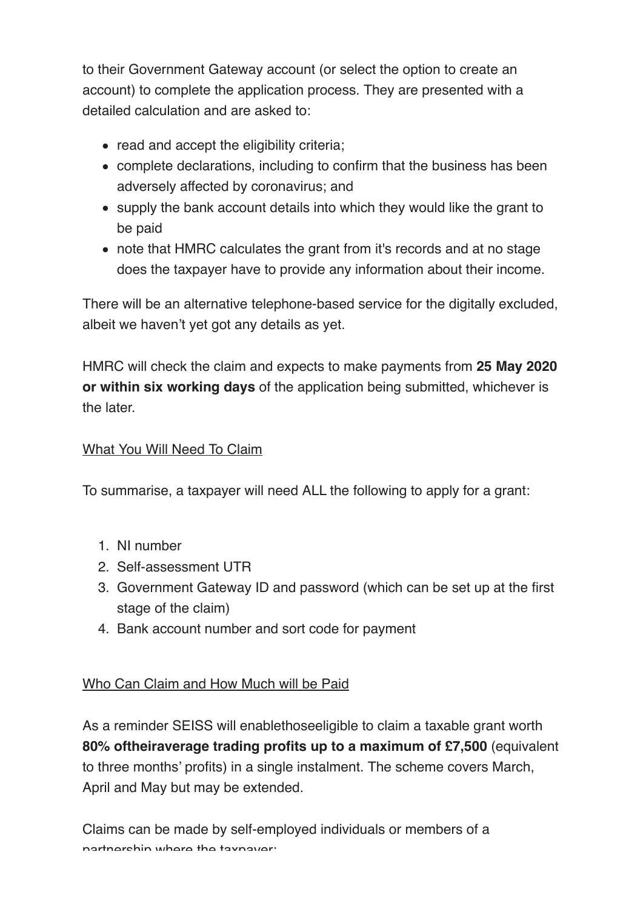to their Government Gateway account (or select the option to create an account) to complete the application process. They are presented with a detailed calculation and are asked to:

- read and accept the eligibility criteria;
- complete declarations, including to confirm that the business has been adversely affected by coronavirus; and
- supply the bank account details into which they would like the grant to be paid
- note that HMRC calculates the grant from it's records and at no stage does the taxpayer have to provide any information about their income.

There will be an alternative telephone-based service for the digitally excluded, albeit we haven't yet got any details as yet.

HMRC will check the claim and expects to make payments from **25 May 2020 or within six working days** of the application being submitted, whichever is the later.

# What You Will Need To Claim

To summarise, a taxpayer will need ALL the following to apply for a grant:

- 1. NI number
- 2. Self-assessment UTR
- 3. Government Gateway ID and password (which can be set up at the first stage of the claim)
- 4. Bank account number and sort code for payment

# Who Can Claim and How Much will be Paid

As a reminder SEISS will enablethoseeligible to claim a taxable grant worth **80% oftheiraverage trading profits up to a maximum of £7,500** (equivalent to three months' profits) in a single instalment. The scheme covers March, April and May but may be extended.

Claims can be made by self-employed individuals or members of a partnership where the taxpayer: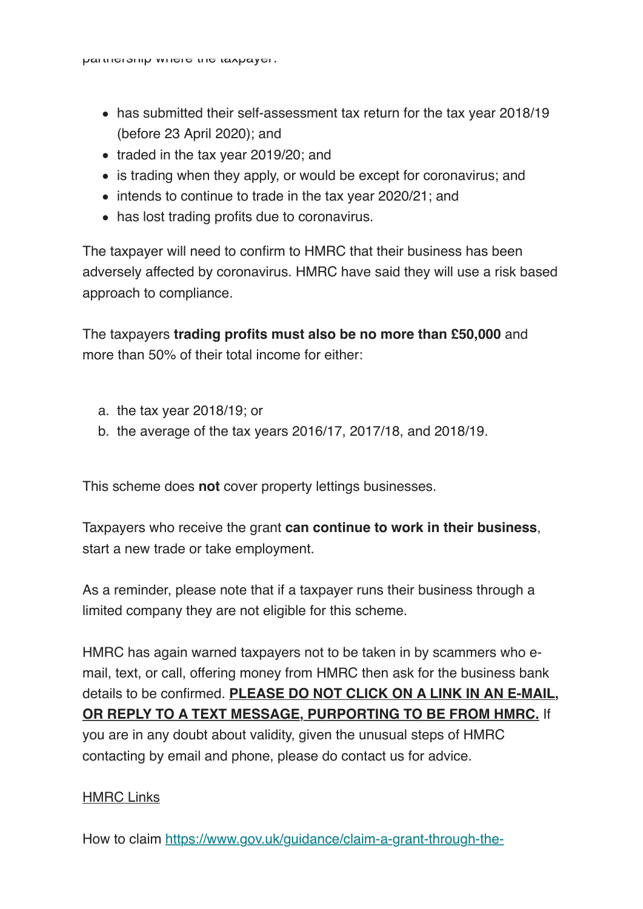- has submitted their self-assessment tax return for the tax year 2018/19 (before 23 April 2020); and
- traded in the tax year 2019/20; and
- is trading when they apply, or would be except for coronavirus; and
- intends to continue to trade in the tax year 2020/21; and
- has lost trading profits due to coronavirus.

The taxpayer will need to confirm to HMRC that their business has been adversely affected by coronavirus. HMRC have said they will use a risk based approach to compliance.

The taxpayers **trading profits must also be no more than £50,000** and more than 50% of their total income for either:

- a. the tax year 2018/19; or
- b. the average of the tax years 2016/17, 2017/18, and 2018/19.

This scheme does **not** cover property lettings businesses.

Taxpayers who receive the grant **can continue to work in their business**, start a new trade or take employment.

As a reminder, please note that if a taxpayer runs their business through a limited company they are not eligible for this scheme.

HMRC has again warned taxpayers not to be taken in by scammers who email, text, or call, offering money from HMRC then ask for the business bank details to be confirmed. **PLEASE DO NOT CLICK ON A LINK IN AN E-MAIL, OR REPLY TO A TEXT MESSAGE, PURPORTING TO BE FROM HMRC.** If you are in any doubt about validity, given the unusual steps of HMRC contacting by email and phone, please do contact us for advice.

## HMRC Links

How to claim https://www.gov.uk/guidance/claim-a-grant-through-the-